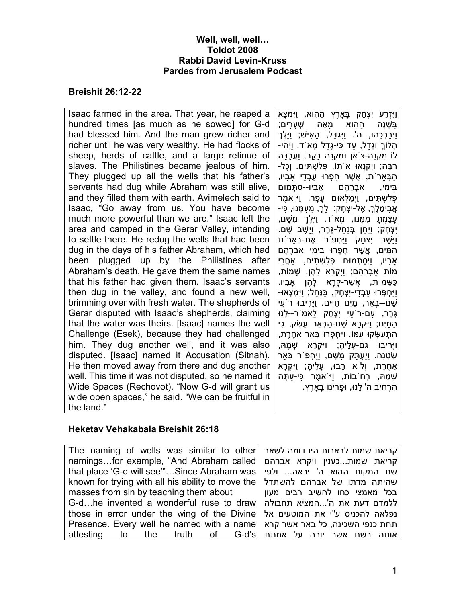#### Well, well, well… Toldot 2008 Rabbi David Levin-Kruss Pardes from Jerusalem Podcast

#### Breishit 26:12-22

Isaac farmed in the area. That year, he reaped a hundred times [as much as he sowed] for G-d had blessed him. And the man grew richer and richer until he was very wealthy. He had flocks of sheep, herds of cattle, and a large retinue of slaves. The Philistines became jealous of him. They plugged up all the wells that his father's servants had dug while Abraham was still alive, and they filled them with earth. Avimelech said to Isaac, "Go away from us. You have become much more powerful than we are." Isaac left the area and camped in the Gerar Valley, intending to settle there. He redug the wells that had been dug in the days of his father Abraham, which had been plugged up by the Philistines after Abraham's death, He gave them the same names that his father had given them. Isaac's servants then dug in the valley, and found a new well, brimming over with fresh water. The shepherds of Gerar disputed with Isaac's shepherds, claiming that the water was theirs. [Isaac] names the well Challenge (Esek), because they had challenged him. They dug another well, and it was also disputed. [Isaac] named it Accusation (Sitnah). He then moved away from there and dug another well. This time it was not disputed, so he named it Wide Spaces (Rechovot). "Now G-d will grant us wide open spaces," he said. "We can be fruitful in the land." וַיִּזְרַע יִצְחָק בָּAרֶץ הַהִוא, וַיִּמְצָא בַּשֵּׁנַה ההוא מאה שָׁעַרים; וַיְבַרְכָהוּ, ה'. וַיּגְדַּל, הָאִישׁ; וַיִּלֶךְ הָלוֹךְ וְגָדֵל, עַד כִּי-גָדַל מְאֹד . וַיְהִי- לוֹ מִקְנֵה-צֹאן וּמִקְנֵה בָקָר, וַעֲבֻדָּה רַבָּה; וַיְקַנְאוּ אֹתוֹ, פְּלִשְׁ תִּ ים . וְכָל- הַבְּאֵרֹת, אֲשֶׁ ר חָפְרוּ עַבְדֵי Aבִיו, בִּימֵי, אַבְרָהָם אַבִיו--סִתְּמוּם פְּלִשְׁ תִּ ים, וַיְמַלְאוּם עָפָר. וַיֹּאמֶר ּאֲבִימֶלֶךָ, אֶל-יִצְחָק: לֵךָ, מֵעָמֵּנוּ, כִּי-ֿעָצַמְתָּ מִמֶּנּוּ, מִא<sup>ֹ</sup>ד. וַיֵּלֶךְ מִשַּׁם, יִצְחָק; וַיִּחַן בְּנַחַל-גְּרָר, וַיֵּשֶׁב שָׁם. וַיָּשָׁ ב יִצְחָק וַיַּחְפֹּר אֶת-בְּאֵרֹת הַמִּים, אֲשֶׁר חַפָּרוּ בִּימִי אַבְרָהָם Aבִיו, וַיְסַתְּ מוּם פְּלִשְׁ תִּ ים, \_חֲרֵי מוֹת \_בְרָהָם; וַיִּקְרָא לָהֶן, שֵׁ מוֹת, כַּשֵּׁ מֹת, אֲשֶׁ ר-קָרָא לָהֶן Aבִיו . וַיַּחְפְּרוּ עַבְדֵי-יִצְחָק, בַּנָּחַל; וַיִּמְצְאוּ- שָׁ ם--בְּאֵר, מַיִם חַיִּים . וַיָּרִיבוּ רֹעֵי ּגְרָר, עִם-רֹעֵי יִצְחֲק לֵאמֹר--לַנוּ ּהַמַּיִם; וַיִּקְרָא שֵׁם-הַבָּאֵר עֵשֶׂק, כִּי ּהִתְעַשְּׂקוּ עִמּוֹ. וַיַּחִפְּרוּ בְּאֵר אַחֶרֶת, וַיָּרִיבוּ גַּם-עָלֶיהָ; וַיִּקְרָא שְׁ מָהּ, שִׂטְנַה. וַיִּעְתִּק מִשָּׁם, וַיִּחְפּ<sup>ְי</sup>ָר בָּאַר \_חֶרֶת, וְלֹא רָבוּ, עָלֶיהָ; וַיִּקְרָא ּשְׁמַהּ, רְחֹבוֹת, וַיּ ֹאמֶר כִּי-עַתַּה ֹהַרְחִיב ה' לַנוּ, וּפַרִינוּ בַארֶץ.

### Heketav Vehakabala Breishit 26:18

| The naming of wells was similar to other   קריאת שמות לבארות היו דומה לשאר                                     |  |
|----------------------------------------------------------------------------------------------------------------|--|
| namingsfor example, "And Abraham called   קריאת שמותכענין ויקרא אברהם                                          |  |
| שם המקום ההוא ה' יראה ולפי   that place 'G-d will see"Since Abraham was                                        |  |
| known for trying with all his ability to move the   להשתדל known for trying with all his ability to move the   |  |
| Exable nasses from sin by teaching them about and your and your and your masses from sin by teaching them abou |  |
| ללמדם דעת את ה'המציא תחבולה G-dhe invented a wonderful ruse to draw                                            |  |
| those in error under the wing of the Divine   נפלאה להכניס ע"י את המוטעים אל                                   |  |
| Presence. Every well he named with a name   תחת כנפי השכינה, כל באר אשר קרא                                    |  |
| attesting to the truth of G-d's   אותה בשם אשר יורה על אמתת                                                    |  |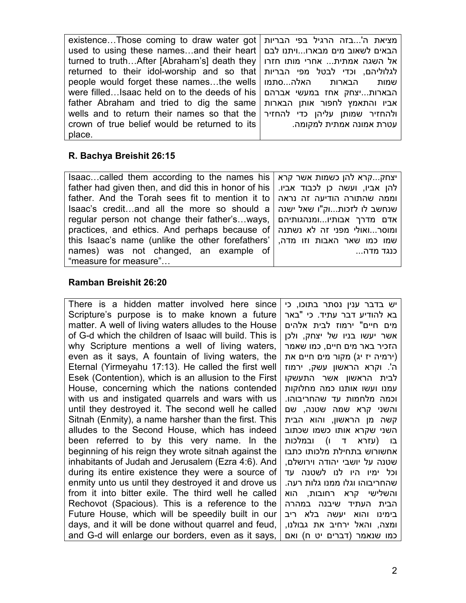existence…Those coming to draw water got used to using these names…and their heart turned to truth…After [Abraham's] death they returned to their idol-worship and so that people would forget these names…the wells were filled…Isaac held on to the deeds of his father Abraham and tried to dig the same wells and to return their names so that the crown of true belief would be returned to its place. מציאת ה'...בזה הרגיל בפי הבריות הבאים לשאוב מים מבארו...ויתנו לבם אל השגה אמתית... אחרי מותו חזרו לגלוליהם, וכדי לבטל מפי הבריות שמות הבארות האלה...סתמו הבארות...יצחק אחז במעשי אברהם אביו והתאמץ לחפור אותן הבארות ולהחזיר שמותן עליהן כדי להחזיר עטרת אמונה אמתית למקומה.

## R. Bachya Breishit 26:15

| Isaaccalled them according to the names his   יצחקקרא להן כשמות אשר קרא             |          |
|-------------------------------------------------------------------------------------|----------|
| father had given then, and did this in honor of his   להן אביו, ועשה כן לכבוד אביו. |          |
| father. And the Torah sees fit to mention it to   וממה שהתורה הודיעה זה נראה        |          |
| $\lambda$ saac's creditand all the more so should a שנחשב לו לזכותוק"ו שאל ישנה     |          |
| regular person not change their father'sways,   אדם מדרך אבותיוומנהגותיהם           |          |
| practices, and ethics. And perhaps because of   ומוסרואולי מפני זה לא נשתנה         |          |
| this Isaac's name (unlike the other forefathers'   שמו כמו שאר האבות וזו מדה,       |          |
| names) was not changed, an example of                                               | כנגד מדה |
| "measure for measure"                                                               |          |

# Ramban Breishit 26:20

There is a hidden matter involved here since Scripture's purpose is to make known a future matter. A well of living waters alludes to the House of G-d which the children of Isaac will build. This is why Scripture mentions a well of living waters, even as it says, A fountain of living waters, the Eternal (Yirmeyahu 17:13). He called the first well Esek (Contention), which is an allusion to the First House, concerning which the nations contended with us and instigated quarrels and wars with us until they destroyed it. The second well he called Sitnah (Enmity), a name harsher than the first. This alludes to the Second House, which has indeed been referred to by this very name. In the beginning of his reign they wrote sitnah against the inhabitants of Judah and Jerusalem (Ezra 4:6). And during its entire existence they were a source of enmity unto us until they destroyed it and drove us from it into bitter exile. The third well he called Rechovot (Spacious). This is a reference to the Future House, which will be speedily built in our days, and it will be done without quarrel and feud, and G-d will enlarge our borders, even as it says,

יש בדבר ענין נסתר בתוכו, כי בא להודיע דבר עתיד. כי "באר מים חיים" ירמוז לבית אלהים אשר יעשו בניו של יצחק, ולכן הזכיר באר מים חיים, כמו שאמר (ירמיה יז יג) מקור מים חיים את 'ה . וקרא הראשון עשק, ירמוז לבית הראשון אשר התעשקו עמנו ועשו אותנו כמה מחלוקות וכמה מלחמות עד שהחריבוהו. והשני קרא שמה שטנה, שם קשה מן הראשון, והוא הבית השני שקרא אותו כשמו שכתוב בו (עזרא ד ו) ובמלכות אחשורוש בתחילת מלכותו כתבו שטנה על יושבי יהודה וירושלם, וכל ימיו היו לנו לשטנה עד שהחריבוהו וגלו ממנו גלות רעה. והשלישי קרא רחובות, הוא הבית העתיד שיבנה במהרה בימינו והוא יעשה בלא ריב ומצה, והאל ירחיב את גבולנו, כמו שנאמר (דברים יט ח) ואם